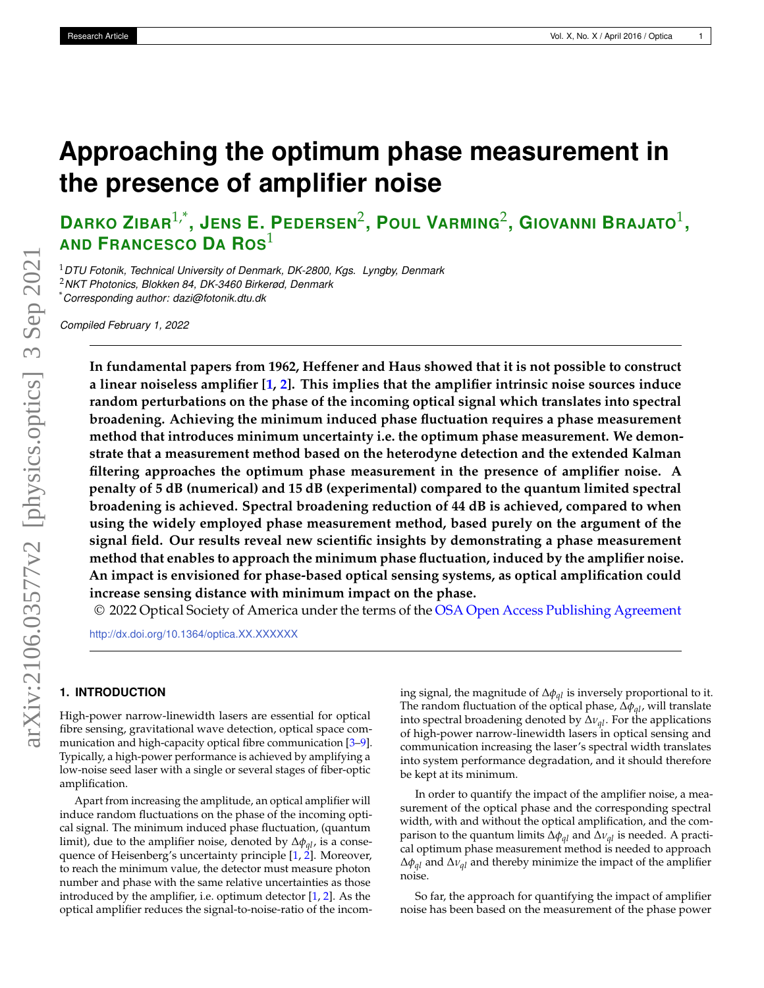# <span id="page-0-0"></span>**Approaching the optimum phase measurement in the presence of amplifier noise**

**DARKO ZIBAR**1,\* **, JENS E. PEDERSEN**<sup>2</sup> **, POUL VARMING**<sup>2</sup> **, GIOVANNI BRAJATO**<sup>1</sup> **, AND FRANCESCO D<sup>A</sup> ROS**<sup>1</sup>

<sup>1</sup>*DTU Fotonik, Technical University of Denmark, DK-2800, Kgs. Lyngby, Denmark* <sup>2</sup>*NKT Photonics, Blokken 84, DK-3460 Birkerød, Denmark* \**Corresponding author: dazi@fotonik.dtu.dk*

*Compiled February 1, 2022*

**In fundamental papers from 1962, Heffener and Haus showed that it is not possible to construct a linear noiseless amplifier [\[1,](#page-6-0) [2\]](#page-6-1). This implies that the amplifier intrinsic noise sources induce random perturbations on the phase of the incoming optical signal which translates into spectral broadening. Achieving the minimum induced phase fluctuation requires a phase measurement method that introduces minimum uncertainty i.e. the optimum phase measurement. We demonstrate that a measurement method based on the heterodyne detection and the extended Kalman filtering approaches the optimum phase measurement in the presence of amplifier noise. A penalty of 5 dB (numerical) and 15 dB (experimental) compared to the quantum limited spectral broadening is achieved. Spectral broadening reduction of 44 dB is achieved, compared to when using the widely employed phase measurement method, based purely on the argument of the signal field. Our results reveal new scientific insights by demonstrating a phase measurement method that enables to approach the minimum phase fluctuation, induced by the amplifier noise. An impact is envisioned for phase-based optical sensing systems, as optical amplification could increase sensing distance with minimum impact on the phase.**

© 2022 Optical Society of America under the terms of the [OSA Open Access Publishing Agreement](https://doi.org/10.1364/OA_License_v1)

<http://dx.doi.org/10.1364/optica.XX.XXXXXX>

# **1. INTRODUCTION**

High-power narrow-linewidth lasers are essential for optical fibre sensing, gravitational wave detection, optical space com-munication and high-capacity optical fibre communication [\[3–](#page-6-2)[9\]](#page-6-3). Typically, a high-power performance is achieved by amplifying a low-noise seed laser with a single or several stages of fiber-optic amplification.

Apart from increasing the amplitude, an optical amplifier will induce random fluctuations on the phase of the incoming optical signal. The minimum induced phase fluctuation, (quantum limit), due to the amplifier noise, denoted by ∆*φql*, is a consequence of Heisenberg's uncertainty principle [\[1,](#page-6-0) [2\]](#page-6-1). Moreover, to reach the minimum value, the detector must measure photon number and phase with the same relative uncertainties as those introduced by the amplifier, i.e. optimum detector [\[1,](#page-6-0) [2\]](#page-6-1). As the optical amplifier reduces the signal-to-noise-ratio of the incoming signal, the magnitude of ∆*φql* is inversely proportional to it. The random fluctuation of the optical phase, ∆*φql*, will translate into spectral broadening denoted by ∆*νql*. For the applications of high-power narrow-linewidth lasers in optical sensing and communication increasing the laser's spectral width translates into system performance degradation, and it should therefore be kept at its minimum.

In order to quantify the impact of the amplifier noise, a measurement of the optical phase and the corresponding spectral width, with and without the optical amplification, and the comparison to the quantum limits ∆*φql* and ∆*νql* is needed. A practical optimum phase measurement method is needed to approach ∆*φql* and ∆*νql* and thereby minimize the impact of the amplifier noise.

So far, the approach for quantifying the impact of amplifier noise has been based on the measurement of the phase power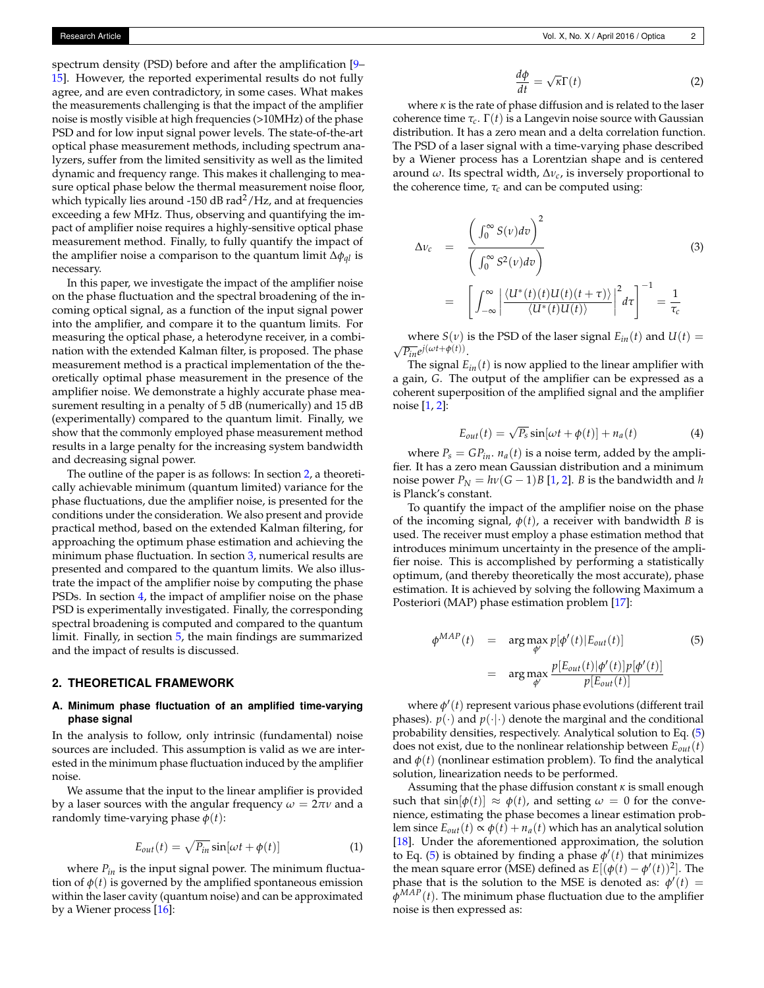spectrum density (PSD) before and after the amplification [\[9–](#page-6-3) [15\]](#page-6-4). However, the reported experimental results do not fully agree, and are even contradictory, in some cases. What makes the measurements challenging is that the impact of the amplifier noise is mostly visible at high frequencies (>10MHz) of the phase PSD and for low input signal power levels. The state-of-the-art optical phase measurement methods, including spectrum analyzers, suffer from the limited sensitivity as well as the limited dynamic and frequency range. This makes it challenging to measure optical phase below the thermal measurement noise floor, which typically lies around -150 dB rad<sup>2</sup>/Hz, and at frequencies exceeding a few MHz. Thus, observing and quantifying the impact of amplifier noise requires a highly-sensitive optical phase measurement method. Finally, to fully quantify the impact of the amplifier noise a comparison to the quantum limit ∆*φql* is necessary.

In this paper, we investigate the impact of the amplifier noise on the phase fluctuation and the spectral broadening of the incoming optical signal, as a function of the input signal power into the amplifier, and compare it to the quantum limits. For measuring the optical phase, a heterodyne receiver, in a combination with the extended Kalman filter, is proposed. The phase measurement method is a practical implementation of the theoretically optimal phase measurement in the presence of the amplifier noise. We demonstrate a highly accurate phase measurement resulting in a penalty of 5 dB (numerically) and 15 dB (experimentally) compared to the quantum limit. Finally, we show that the commonly employed phase measurement method results in a large penalty for the increasing system bandwidth and decreasing signal power.

The outline of the paper is as follows: In section [2,](#page-1-0) a theoretically achievable minimum (quantum limited) variance for the phase fluctuations, due the amplifier noise, is presented for the conditions under the consideration. We also present and provide practical method, based on the extended Kalman filtering, for approaching the optimum phase estimation and achieving the minimum phase fluctuation. In section [3,](#page-3-0) numerical results are presented and compared to the quantum limits. We also illustrate the impact of the amplifier noise by computing the phase PSDs. In section [4,](#page-4-0) the impact of amplifier noise on the phase PSD is experimentally investigated. Finally, the corresponding spectral broadening is computed and compared to the quantum limit. Finally, in section [5,](#page-5-0) the main findings are summarized and the impact of results is discussed.

#### <span id="page-1-0"></span>**2. THEORETICAL FRAMEWORK**

## **A. Minimum phase fluctuation of an amplified time-varying phase signal**

In the analysis to follow, only intrinsic (fundamental) noise sources are included. This assumption is valid as we are interested in the minimum phase fluctuation induced by the amplifier noise.

We assume that the input to the linear amplifier is provided by a laser sources with the angular frequency  $\omega = 2\pi\nu$  and a randomly time-varying phase  $\phi(t)$ :

$$
E_{out}(t) = \sqrt{P_{in}} \sin[\omega t + \phi(t)] \tag{1}
$$

where *Pin* is the input signal power. The minimum fluctuation of  $\phi(t)$  is governed by the amplified spontaneous emission within the laser cavity (quantum noise) and can be approximated by a Wiener process [\[16\]](#page-6-5):

<span id="page-1-3"></span>
$$
\frac{d\phi}{dt} = \sqrt{\kappa} \Gamma(t) \tag{2}
$$

where  $\kappa$  is the rate of phase diffusion and is related to the laser coherence time  $τ_c$ .  $Γ(t)$  is a Langevin noise source with Gaussian distribution. It has a zero mean and a delta correlation function. The PSD of a laser signal with a time-varying phase described by a Wiener process has a Lorentzian shape and is centered around *ω*. Its spectral width, ∆*νc*, is inversely proportional to the coherence time,  $\tau_c$  and can be computed using:

$$
\Delta v_c = \frac{\left(\int_0^\infty S(v)dv\right)^2}{\left(\int_0^\infty S^2(v)dv\right)}
$$
\n
$$
= \left[\int_{-\infty}^\infty \left|\frac{\langle U^*(t)(t)U(t)(t+\tau)\rangle}{\langle U^*(t)U(t)\rangle}\right|^2 d\tau\right]^{-1} = \frac{1}{\tau_c}
$$
\n(3)

where *S*(*v*) is the PSD of the laser signal  $E_{in}(t)$  and  $U(t)$  =  $\sqrt{P_{in}}e^{j(\omega t + \phi(t))}$ .

The signal  $E_{in}(t)$  is now applied to the linear amplifier with a gain, *G*. The output of the amplifier can be expressed as a coherent superposition of the amplified signal and the amplifier noise [\[1,](#page-6-0) [2\]](#page-6-1):

<span id="page-1-2"></span>
$$
E_{out}(t) = \sqrt{P_s} \sin[\omega t + \phi(t)] + n_a(t)
$$
 (4)

where  $P_s = GP_{in}$ .  $n_a(t)$  is a noise term, added by the amplifier. It has a zero mean Gaussian distribution and a minimum noise power  $P_N = h\nu(G-1)B$  [\[1,](#page-6-0) [2\]](#page-6-1). *B* is the bandwidth and *h* is Planck's constant.

To quantify the impact of the amplifier noise on the phase of the incoming signal,  $\phi(t)$ , a receiver with bandwidth *B* is used. The receiver must employ a phase estimation method that introduces minimum uncertainty in the presence of the amplifier noise. This is accomplished by performing a statistically optimum, (and thereby theoretically the most accurate), phase estimation. It is achieved by solving the following Maximum a Posteriori (MAP) phase estimation problem [\[17\]](#page-6-6):

<span id="page-1-1"></span>
$$
\phi^{MAP}(t) = \arg \max_{\phi'} p[\phi'(t)|E_{out}(t)] \tag{5}
$$

$$
= \arg \max_{\phi'} \frac{p[E_{out}(t)|\phi'(t)]p[\phi'(t)]}{p[E_{out}(t)]} \tag{5}
$$

where  $\phi'(t)$  represent various phase evolutions (different trail phases).  $p(\cdot)$  and  $p(\cdot|\cdot)$  denote the marginal and the conditional probability densities, respectively. Analytical solution to Eq. [\(5\)](#page-1-1) does not exist, due to the nonlinear relationship between *Eout*(*t*) and  $\phi(t)$  (nonlinear estimation problem). To find the analytical solution, linearization needs to be performed.

Assuming that the phase diffusion constant *κ* is small enough such that  $\sin[\phi(t)] \approx \phi(t)$ , and setting  $\omega = 0$  for the convenience, estimating the phase becomes a linear estimation problem since  $E_{out}(t) \propto \phi(t) + n_a(t)$  which has an analytical solution [\[18\]](#page-6-7). Under the aforementioned approximation, the solution to Eq. [\(5\)](#page-1-1) is obtained by finding a phase  $\phi'(t)$  that minimizes the mean square error (MSE) defined as  $E[(\phi(t) - \phi'(t))^2]$ . The phase that is the solution to the MSE is denoted as:  $\phi'(t)$  = *φMAP*(*t*). The minimum phase fluctuation due to the amplifier noise is then expressed as: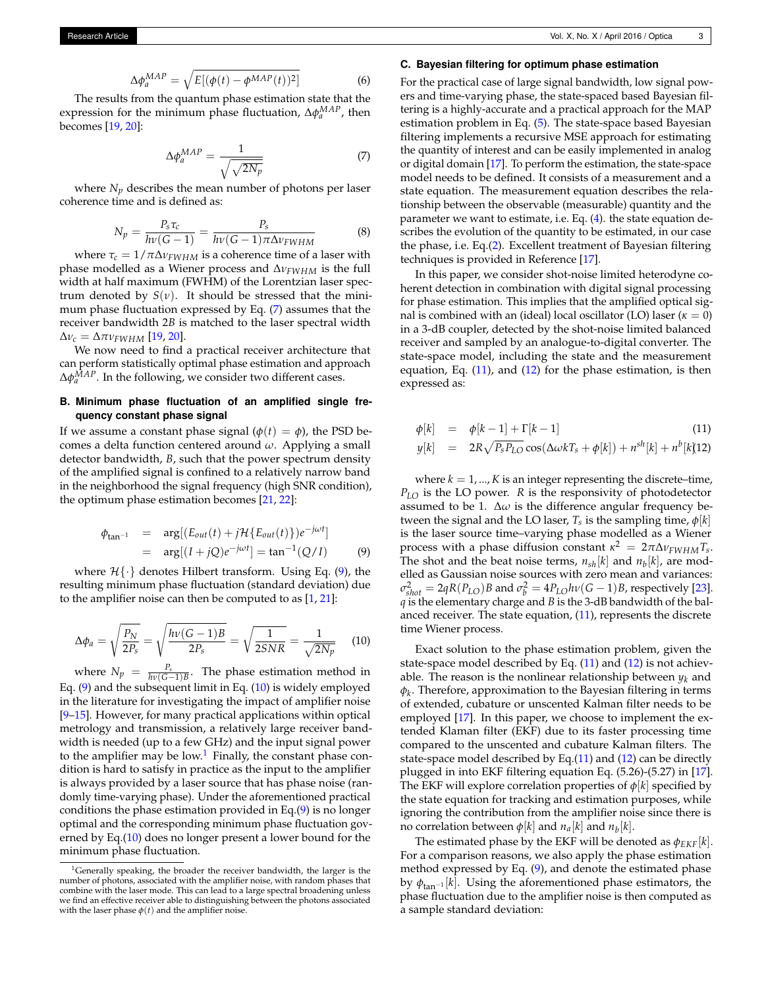$$
\Delta \phi_a^{MAP} = \sqrt{E[(\phi(t) - \phi^{MAP}(t))^2]}
$$
 (6)

The results from the quantum phase estimation state that the expression for the minimum phase fluctuation,  $\Delta \phi_a^{MAP}$ , then becomes [\[19,](#page-6-8) [20\]](#page-6-9):

<span id="page-2-0"></span>
$$
\Delta \phi_a^{MAP} = \frac{1}{\sqrt{\sqrt{2N_p}}} \tag{7}
$$

where  $N_p$  describes the mean number of photons per laser coherence time and is defined as:

$$
N_p = \frac{P_s \tau_c}{h\nu (G-1)} = \frac{P_s}{h\nu (G-1) \pi \Delta \nu_{FWHM}} \tag{8}
$$

where  $\tau_c = 1/\pi \Delta v_{FWHM}$  is a coherence time of a laser with phase modelled as a Wiener process and ∆*νFWHM* is the full width at half maximum (FWHM) of the Lorentzian laser spectrum denoted by  $S(v)$ . It should be stressed that the minimum phase fluctuation expressed by Eq. [\(7\)](#page-2-0) assumes that the receiver bandwidth 2*B* is matched to the laser spectral width  $\Delta v_c = \Delta \pi v_{FWHM}$  [\[19,](#page-6-8) [20\]](#page-6-9).

We now need to find a practical receiver architecture that can perform statistically optimal phase estimation and approach  $Δφ<sub>a</sub><sup>MAP</sup>$ . In the following, we consider two different cases.

## **B. Minimum phase fluctuation of an amplified single frequency constant phase signal**

If we assume a constant phase signal ( $\phi(t) = \phi$ ), the PSD becomes a delta function centered around *ω*. Applying a small detector bandwidth, *B*, such that the power spectrum density of the amplified signal is confined to a relatively narrow band in the neighborhood the signal frequency (high SNR condition), the optimum phase estimation becomes [\[21,](#page-6-10) [22\]](#page-6-11):

<span id="page-2-1"></span>
$$
\begin{aligned} \phi_{\text{tan}^{-1}} &= \arg[(E_{\text{out}}(t) + j\mathcal{H}\{E_{\text{out}}(t)\})e^{-j\omega t}] \\ &= \arg[(I + jQ)e^{-j\omega t}] = \tan^{-1}(Q/I) \end{aligned} \tag{9}
$$

where  $\mathcal{H}\{\cdot\}$  denotes Hilbert transform. Using Eq. [\(9\)](#page-2-1), the resulting minimum phase fluctuation (standard deviation) due to the amplifier noise can then be computed to as [\[1,](#page-6-0) [21\]](#page-6-10):

<span id="page-2-2"></span>
$$
\Delta \phi_a = \sqrt{\frac{P_N}{2P_s}} = \sqrt{\frac{h\nu (G - 1)B}{2P_s}} = \sqrt{\frac{1}{2SNR}} = \frac{1}{\sqrt{2N_p}}
$$
(10)

where  $N_p = \frac{P_s}{h\nu(G-1)B}$ . The phase estimation method in Eq. [\(9\)](#page-2-1) and the subsequent limit in Eq. [\(10\)](#page-2-2) is widely employed in the literature for investigating the impact of amplifier noise [\[9](#page-6-3)[–15\]](#page-6-4). However, for many practical applications within optical metrology and transmission, a relatively large receiver bandwidth is needed (up to a few GHz) and the input signal power to the amplifier may be low.<sup>[1](#page-2-3)</sup> Finally, the constant phase condition is hard to satisfy in practice as the input to the amplifier is always provided by a laser source that has phase noise (randomly time-varying phase). Under the aforementioned practical conditions the phase estimation provided in Eq.[\(9\)](#page-2-1) is no longer optimal and the corresponding minimum phase fluctuation governed by Eq.[\(10\)](#page-2-2) does no longer present a lower bound for the minimum phase fluctuation.

#### **C. Bayesian filtering for optimum phase estimation**

For the practical case of large signal bandwidth, low signal powers and time-varying phase, the state-spaced based Bayesian filtering is a highly-accurate and a practical approach for the MAP estimation problem in Eq. [\(5\)](#page-1-1). The state-space based Bayesian filtering implements a recursive MSE approach for estimating the quantity of interest and can be easily implemented in analog or digital domain [\[17\]](#page-6-6). To perform the estimation, the state-space model needs to be defined. It consists of a measurement and a state equation. The measurement equation describes the relationship between the observable (measurable) quantity and the parameter we want to estimate, i.e. Eq. [\(4\)](#page-1-2). the state equation describes the evolution of the quantity to be estimated, in our case the phase, i.e. Eq.[\(2\)](#page-1-3). Excellent treatment of Bayesian filtering techniques is provided in Reference [\[17\]](#page-6-6).

In this paper, we consider shot-noise limited heterodyne coherent detection in combination with digital signal processing for phase estimation. This implies that the amplified optical signal is combined with an (ideal) local oscillator (LO) laser (*κ* = 0) in a 3-dB coupler, detected by the shot-noise limited balanced receiver and sampled by an analogue-to-digital converter. The state-space model, including the state and the measurement equation, Eq. [\(11\)](#page-2-4), and [\(12\)](#page-2-4) for the phase estimation, is then expressed as:

<span id="page-2-4"></span>
$$
\phi[k] = \phi[k-1] + \Gamma[k-1] \tag{11}
$$

$$
y[k] = 2R\sqrt{P_s P_{LO}}\cos(\Delta\omega kT_s + \phi[k]) + n^{sh}[k] + n^b[k]
$$

where  $k = 1, ..., K$  is an integer representing the discrete–time, *PLO* is the LO power. *R* is the responsivity of photodetector assumed to be 1.  $\Delta\omega$  is the difference angular frequency between the signal and the LO laser,  $T_s$  is the sampling time,  $\phi[k]$ is the laser source time–varying phase modelled as a Wiener process with a phase diffusion constant  $\kappa^2 = 2\pi\Delta v_{FWHM}T_s$ . The shot and the beat noise terms,  $n_{sh}[k]$  and  $n_b[k]$ , are modelled as Gaussian noise sources with zero mean and variances:  $\sigma_{shot}^2 = 2qR(P_{LO})B$  and  $\sigma_b^2 = 4P_{LO}h\nu(G-1)B$ , respectively [\[23\]](#page-6-12). *q* is the elementary charge and *B* is the 3-dB bandwidth of the balanced receiver. The state equation,  $(11)$ , represents the discrete time Wiener process.

Exact solution to the phase estimation problem, given the state-space model described by Eq. [\(11\)](#page-2-4) and [\(12\)](#page-2-4) is not achievable. The reason is the nonlinear relationship between  $y_k$  and *φk* . Therefore, approximation to the Bayesian filtering in terms of extended, cubature or unscented Kalman filter needs to be employed [\[17\]](#page-6-6). In this paper, we choose to implement the extended Klaman filter (EKF) due to its faster processing time compared to the unscented and cubature Kalman filters. The state-space model described by Eq. $(11)$  and  $(12)$  can be directly plugged in into EKF filtering equation Eq. (5.26)-(5.27) in [\[17\]](#page-6-6). The EKF will explore correlation properties of *φ*[*k*] specified by the state equation for tracking and estimation purposes, while ignoring the contribution from the amplifier noise since there is no correlation between  $\phi[k]$  and  $n_a[k]$  and  $n_b[k]$ .

The estimated phase by the EKF will be denoted as  $\phi_{EKF}[k]$ . For a comparison reasons, we also apply the phase estimation method expressed by Eq. [\(9\)](#page-2-1), and denote the estimated phase by  $\phi_{\tan^{-1}}[k]$ . Using the aforementioned phase estimators, the phase fluctuation due to the amplifier noise is then computed as a sample standard deviation:

<span id="page-2-3"></span><sup>1</sup>Generally speaking, the broader the receiver bandwidth, the larger is the number of photons, associated with the amplifier noise, with random phases that combine with the laser mode. This can lead to a large spectral broadening unless we find an effective receiver able to distinguishing between the photons associated with the laser phase  $\phi(t)$  and the amplifier noise.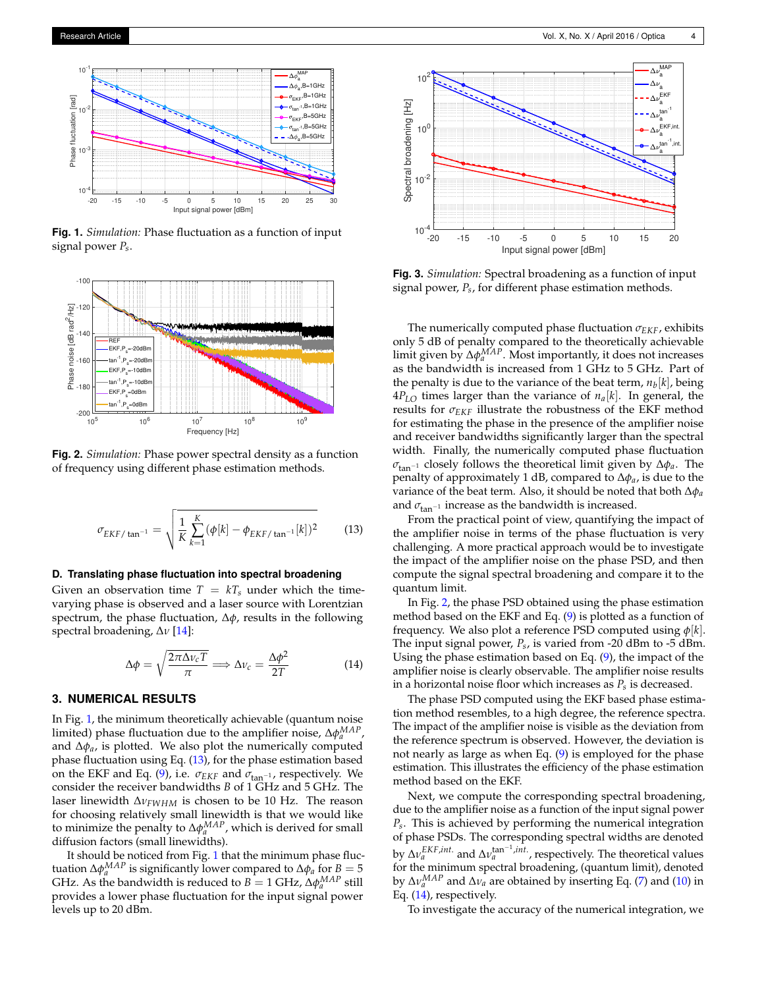<span id="page-3-1"></span>

**Fig. 1.** *Simulation:* Phase fluctuation as a function of input signal power *Ps*.

<span id="page-3-3"></span>

**Fig. 2.** *Simulation:* Phase power spectral density as a function of frequency using different phase estimation methods.

<span id="page-3-2"></span>
$$
\sigma_{EKF/\tan^{-1}} = \sqrt{\frac{1}{K} \sum_{k=1}^{K} (\phi[k] - \phi_{EKF/\tan^{-1}}[k])^2}
$$
(13)

#### **D. Translating phase fluctuation into spectral broadening**

Given an observation time  $T = kT_s$  under which the timevarying phase is observed and a laser source with Lorentzian spectrum, the phase fluctuation, ∆*φ*, results in the following spectral broadening, ∆*ν* [\[14\]](#page-6-13):

<span id="page-3-4"></span>
$$
\Delta \phi = \sqrt{\frac{2\pi \Delta \nu_c T}{\pi}} \Longrightarrow \Delta \nu_c = \frac{\Delta \phi^2}{2T}
$$
 (14)

## <span id="page-3-0"></span>**3. NUMERICAL RESULTS**

In Fig. [1,](#page-3-1) the minimum theoretically achievable (quantum noise limited) phase fluctuation due to the amplifier noise,  $\Delta \phi_a^{MAP}$ , and ∆*φa*, is plotted. We also plot the numerically computed phase fluctuation using Eq. [\(13\)](#page-3-2), for the phase estimation based on the EKF and Eq. [\(9\)](#page-2-1), i.e.  $\sigma_{EKF}$  and  $\sigma_{tan^{-1}}$ , respectively. We consider the receiver bandwidths *B* of 1 GHz and 5 GHz. The laser linewidth ∆*νFWHM* is chosen to be 10 Hz. The reason for choosing relatively small linewidth is that we would like to minimize the penalty to Δ $\phi_a^{MAP}$ , which is derived for small diffusion factors (small linewidths).

It should be noticed from Fig. [1](#page-3-1) that the minimum phase fluctuation  $\Delta \phi_a^{MAP}$  is significantly lower compared to  $\Delta \phi_a$  for *B* = 5 GHz. As the bandwidth is reduced to  $B = 1$  GHz,  $\Delta \phi_a^{MAP}$  still provides a lower phase fluctuation for the input signal power levels up to 20 dBm.



**Fig. 3.** *Simulation:* Spectral broadening as a function of input signal power, *Ps*, for different phase estimation methods.

The numerically computed phase fluctuation *σEKF*, exhibits only 5 dB of penalty compared to the theoretically achievable limit given by ∆ $\phi_a^{MAP}$ . Most importantly, it does not increases as the bandwidth is increased from 1 GHz to 5 GHz. Part of the penalty is due to the variance of the beat term, *n<sup>b</sup>* [*k*], being  $4P_{LO}$  times larger than the variance of  $n_a[k]$ . In general, the results for  $\sigma_{EKF}$  illustrate the robustness of the EKF method for estimating the phase in the presence of the amplifier noise and receiver bandwidths significantly larger than the spectral width. Finally, the numerically computed phase fluctuation *σ*tan−<sup>1</sup> closely follows the theoretical limit given by ∆*φa*. The penalty of approximately 1 dB, compared to ∆*φa*, is due to the variance of the beat term. Also, it should be noted that both ∆*φ<sup>a</sup>* and  $\sigma_{\text{tan}^{-1}}$  increase as the bandwidth is increased.

From the practical point of view, quantifying the impact of the amplifier noise in terms of the phase fluctuation is very challenging. A more practical approach would be to investigate the impact of the amplifier noise on the phase PSD, and then compute the signal spectral broadening and compare it to the quantum limit.

In Fig. [2,](#page-3-3) the phase PSD obtained using the phase estimation method based on the EKF and Eq. [\(9\)](#page-2-1) is plotted as a function of frequency. We also plot a reference PSD computed using *φ*[*k*]. The input signal power, *Ps*, is varied from -20 dBm to -5 dBm. Using the phase estimation based on Eq. [\(9\)](#page-2-1), the impact of the amplifier noise is clearly observable. The amplifier noise results in a horizontal noise floor which increases as *Ps* is decreased.

The phase PSD computed using the EKF based phase estimation method resembles, to a high degree, the reference spectra. The impact of the amplifier noise is visible as the deviation from the reference spectrum is observed. However, the deviation is not nearly as large as when Eq. [\(9\)](#page-2-1) is employed for the phase estimation. This illustrates the efficiency of the phase estimation method based on the EKF.

Next, we compute the corresponding spectral broadening, due to the amplifier noise as a function of the input signal power *Ps*. This is achieved by performing the numerical integration of phase PSDs. The corresponding spectral widths are denoted by  $\Delta v_a^{EKF, int.}$  and  $\Delta v_a^{\text{tan}^{-1}, int.}$ , respectively. The theoretical values for the minimum spectral broadening, (quantum limit), denoted by ∆*νMAP <sup>a</sup>* and ∆*ν<sup>a</sup>* are obtained by inserting Eq. [\(7\)](#page-2-0) and [\(10\)](#page-2-2) in Eq. [\(14\)](#page-3-4), respectively.

To investigate the accuracy of the numerical integration, we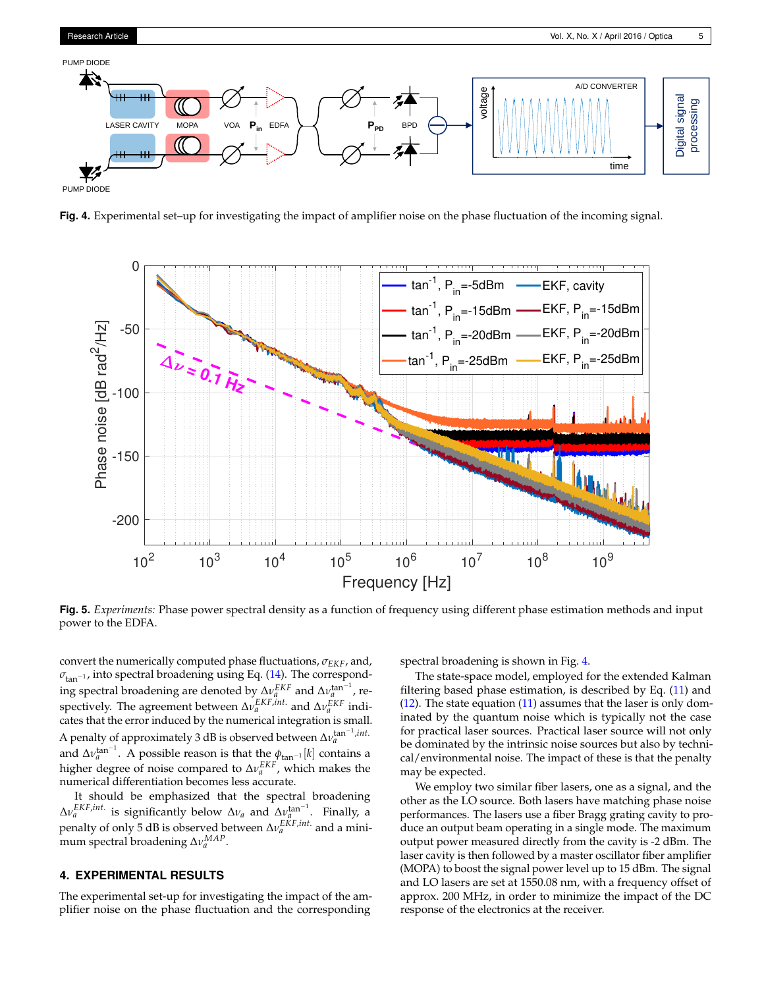

<span id="page-4-1"></span>

<span id="page-4-2"></span>**Fig. 4.** Experimental set–up for investigating the impact of amplifier noise on the phase fluctuation of the incoming signal.



**Fig. 5.** *Experiments:* Phase power spectral density as a function of frequency using different phase estimation methods and input power to the EDFA.

convert the numerically computed phase fluctuations, *σEKF*, and,  $σ$ <sub>tan</sub><sup>-1</sup>, into spectral broadening using Eq. [\(14\)](#page-3-4). The correspond- $\log \text{spectral broadening}$  are denoted by  $\Delta v_a^{EKF}$  and  $\Delta v_a^{\text{tan}-1}$ , respectively. The agreement between ∆*ν EKF*,*int*. *<sup>a</sup>* and ∆*ν EKF a* indicates that the error induced by the numerical integration is small. A penalty of approximately 3 dB is observed between  $\Delta v^{\rm tan^{-1}, int.}_{a}$ and  $\Delta v_a^{\text{tan}^{-1}}$ . A possible reason is that the  $\phi_{\text{tan}^{-1}}[k]$  contains a higher degree of noise compared to Δ*ν*<sup>EKF</sup>, which makes the numerical differentiation becomes less accurate.

It should be emphasized that the spectral broadening  $\Delta v_a^{EKF, int.}$  is significantly below  $\Delta v_a$  and  $\Delta v_a^{tan^{-1}}$ . Finally, a penalty of only 5 dB is observed between  $\Delta v_a^{EKF, int.}$  and a minimum spectral broadening ∆*νMAP a* .

## <span id="page-4-0"></span>**4. EXPERIMENTAL RESULTS**

The experimental set-up for investigating the impact of the amplifier noise on the phase fluctuation and the corresponding

spectral broadening is shown in Fig. [4.](#page-4-1)

The state-space model, employed for the extended Kalman filtering based phase estimation, is described by Eq.  $(11)$  and  $(12)$ . The state equation  $(11)$  assumes that the laser is only dominated by the quantum noise which is typically not the case for practical laser sources. Practical laser source will not only be dominated by the intrinsic noise sources but also by technical/environmental noise. The impact of these is that the penalty may be expected.

We employ two similar fiber lasers, one as a signal, and the other as the LO source. Both lasers have matching phase noise performances. The lasers use a fiber Bragg grating cavity to produce an output beam operating in a single mode. The maximum output power measured directly from the cavity is -2 dBm. The laser cavity is then followed by a master oscillator fiber amplifier (MOPA) to boost the signal power level up to 15 dBm. The signal and LO lasers are set at 1550.08 nm, with a frequency offset of approx. 200 MHz, in order to minimize the impact of the DC response of the electronics at the receiver.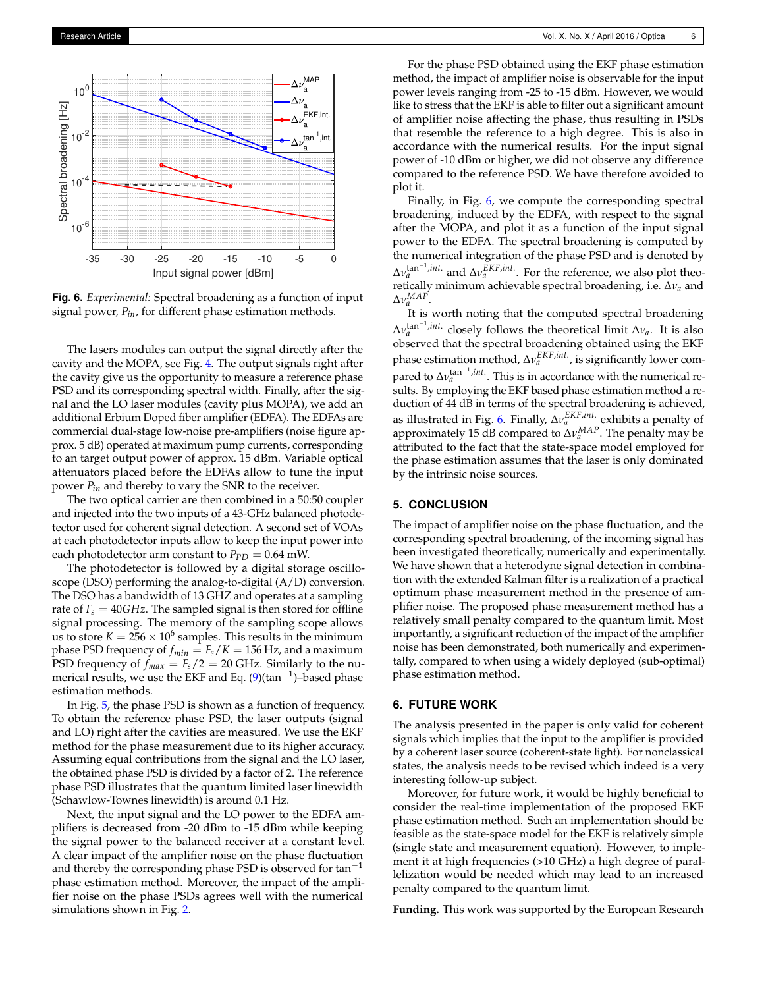<span id="page-5-1"></span>

**Fig. 6.** *Experimental:* Spectral broadening as a function of input signal power, *Pin*, for different phase estimation methods.

The lasers modules can output the signal directly after the cavity and the MOPA, see Fig. [4.](#page-4-1) The output signals right after the cavity give us the opportunity to measure a reference phase PSD and its corresponding spectral width. Finally, after the signal and the LO laser modules (cavity plus MOPA), we add an additional Erbium Doped fiber amplifier (EDFA). The EDFAs are commercial dual-stage low-noise pre-amplifiers (noise figure approx. 5 dB) operated at maximum pump currents, corresponding to an target output power of approx. 15 dBm. Variable optical attenuators placed before the EDFAs allow to tune the input power *Pin* and thereby to vary the SNR to the receiver.

The two optical carrier are then combined in a 50:50 coupler and injected into the two inputs of a 43-GHz balanced photodetector used for coherent signal detection. A second set of VOAs at each photodetector inputs allow to keep the input power into each photodetector arm constant to  $P_{PD} = 0.64$  mW.

The photodetector is followed by a digital storage oscilloscope (DSO) performing the analog-to-digital (A/D) conversion. The DSO has a bandwidth of 13 GHZ and operates at a sampling rate of  $F_s = 40GHz$ . The sampled signal is then stored for offline signal processing. The memory of the sampling scope allows us to store  $K = 256 \times 10^6$  samples. This results in the minimum phase PSD frequency of  $f_{min} = F_s/K = 156$  Hz, and a maximum PSD frequency of  $f_{max} = F_s/2 = 20$  GHz. Similarly to the nu-merical results, we use the EKF and Eq. [\(9\)](#page-2-1)(tan<sup>-1</sup>)-based phase estimation methods.

In Fig. [5,](#page-4-2) the phase PSD is shown as a function of frequency. To obtain the reference phase PSD, the laser outputs (signal and LO) right after the cavities are measured. We use the EKF method for the phase measurement due to its higher accuracy. Assuming equal contributions from the signal and the LO laser, the obtained phase PSD is divided by a factor of 2. The reference phase PSD illustrates that the quantum limited laser linewidth (Schawlow-Townes linewidth) is around 0.1 Hz.

Next, the input signal and the LO power to the EDFA amplifiers is decreased from -20 dBm to -15 dBm while keeping the signal power to the balanced receiver at a constant level. A clear impact of the amplifier noise on the phase fluctuation and thereby the corresponding phase PSD is observed for  $tan^{-1}$ phase estimation method. Moreover, the impact of the amplifier noise on the phase PSDs agrees well with the numerical simulations shown in Fig. [2.](#page-3-3)

For the phase PSD obtained using the EKF phase estimation method, the impact of amplifier noise is observable for the input power levels ranging from -25 to -15 dBm. However, we would like to stress that the EKF is able to filter out a significant amount of amplifier noise affecting the phase, thus resulting in PSDs that resemble the reference to a high degree. This is also in accordance with the numerical results. For the input signal power of -10 dBm or higher, we did not observe any difference compared to the reference PSD. We have therefore avoided to plot it.

Finally, in Fig. [6,](#page-5-1) we compute the corresponding spectral broadening, induced by the EDFA, with respect to the signal after the MOPA, and plot it as a function of the input signal power to the EDFA. The spectral broadening is computed by the numerical integration of the phase PSD and is denoted by  $\Delta v_a^{\tan^{-1}, int.}$  and  $\Delta v_a^{\text{EKF}, int.}$  For the reference, we also plot theoretically minimum achievable spectral broadening, i.e. ∆*ν<sup>a</sup>* and  $Δv_a^{MAP}$ .

It is worth noting that the computed spectral broadening  $\Delta v_a^{\tan^{-1}, int.}$  closely follows the theoretical limit  $\Delta v_a$ . It is also observed that the spectral broadening obtained using the EKF phase estimation method, ∆*ν EKF*,*int*. *a* , is significantly lower compared to  $\Delta v_a^{\tan^{-1}, int}$ . This is in accordance with the numerical results. By employing the EKF based phase estimation method a reduction of 44 dB in terms of the spectral broadening is achieved, as illustrated in Fig. [6.](#page-5-1) Finally, ∆*ν EKF*,*int*. *<sup>a</sup>* exhibits a penalty of approximately 15 dB compared to ∆*νMAP a* . The penalty may be attributed to the fact that the state-space model employed for the phase estimation assumes that the laser is only dominated by the intrinsic noise sources.

#### <span id="page-5-0"></span>**5. CONCLUSION**

The impact of amplifier noise on the phase fluctuation, and the corresponding spectral broadening, of the incoming signal has been investigated theoretically, numerically and experimentally. We have shown that a heterodyne signal detection in combination with the extended Kalman filter is a realization of a practical optimum phase measurement method in the presence of amplifier noise. The proposed phase measurement method has a relatively small penalty compared to the quantum limit. Most importantly, a significant reduction of the impact of the amplifier noise has been demonstrated, both numerically and experimentally, compared to when using a widely deployed (sub-optimal) phase estimation method.

### **6. FUTURE WORK**

The analysis presented in the paper is only valid for coherent signals which implies that the input to the amplifier is provided by a coherent laser source (coherent-state light). For nonclassical states, the analysis needs to be revised which indeed is a very interesting follow-up subject.

Moreover, for future work, it would be highly beneficial to consider the real-time implementation of the proposed EKF phase estimation method. Such an implementation should be feasible as the state-space model for the EKF is relatively simple (single state and measurement equation). However, to implement it at high frequencies (>10 GHz) a high degree of parallelization would be needed which may lead to an increased penalty compared to the quantum limit.

**Funding.** This work was supported by the European Research